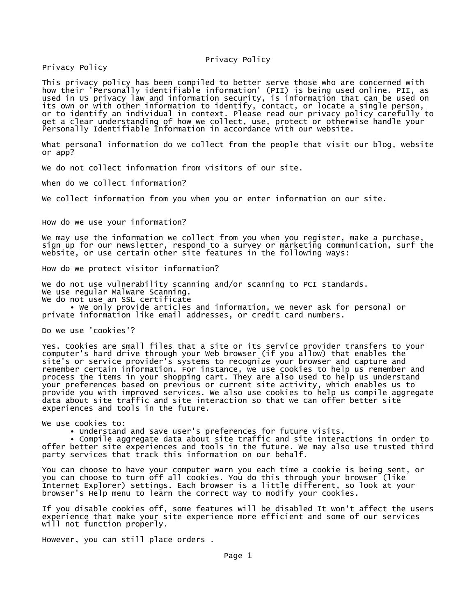#### Privacy Policy

Privacy Policy

This privacy policy has been compiled to better serve those who are concerned with how their 'Personally identifiable information' (PII) is being used online. PII, as used in US privacy law and information security, is information that can be used on its own or with other information to identify, contact, or locate a single person, or to identify an individual in context. Please read our privacy policy carefully to get a clear understanding of how we collect, use, protect or otherwise handle your Personally Identifiable Information in accordance with our website.

What personal information do we collect from the people that visit our blog, website or app?

We do not collect information from visitors of our site.

When do we collect information?

We collect information from you when you or enter information on our site.

How do we use your information?

We may use the information we collect from you when you register, make a purchase, sign up for our newsletter, respond to a survey or marketing communication, surf the website, or use certain other site features in the following ways:

How do we protect visitor information?

We do not use vulnerability scanning and/or scanning to PCI standards. We use regular Malware Scanning.

We do not use an SSL certificate

 • We only provide articles and information, we never ask for personal or private information like email addresses, or credit card numbers.

Do we use 'cookies'?

Yes. Cookies are small files that a site or its service provider transfers to your computer's hard drive through your Web browser (if you allow) that enables the site's or service provider's systems to recognize your browser and capture and remember certain information. For instance, we use cookies to help us remember and process the items in your shopping cart. They are also used to help us understand your preferences based on previous or current site activity, which enables us to provide you with improved services. We also use cookies to help us compile aggregate data about site traffic and site interaction so that we can offer better site experiences and tools in the future.

We use cookies to:

• Understand and save user's preferences for future visits.

 • Compile aggregate data about site traffic and site interactions in order to offer better site experiences and tools in the future. We may also use trusted third party services that track this information on our behalf.

You can choose to have your computer warn you each time a cookie is being sent, or you can choose to turn off all cookies. You do this through your browser (like Internet Explorer) settings. Each browser is a little different, so look at your browser's Help menu to learn the correct way to modify your cookies.

If you disable cookies off, some features will be disabled It won't affect the users experience that make your site experience more efficient and some of our services will not function properly.

However, you can still place orders .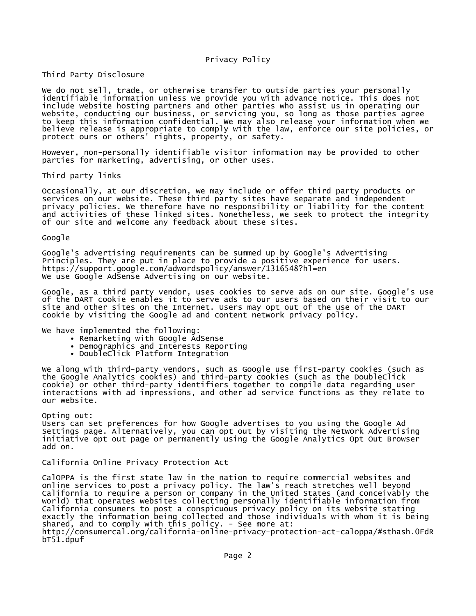Third Party Disclosure

We do not sell, trade, or otherwise transfer to outside parties your personally identifiable information unless we provide you with advance notice. This does not include website hosting partners and other parties who assist us in operating our website, conducting our business, or servicing you, so long as those parties agree to keep this information confidential. We may also release your information when we believe release is appropriate to comply with the law, enforce our site policies, or protect ours or others' rights, property, or safety.

However, non-personally identifiable visitor information may be provided to other parties for marketing, advertising, or other uses.

Third party links

Occasionally, at our discretion, we may include or offer third party products or services on our website. These third party sites have separate and independent privacy policies. We therefore have no responsibility or liability for the content and activities of these linked sites. Nonetheless, we seek to protect the integrity of our site and welcome any feedback about these sites.

#### Google

Google's advertising requirements can be summed up by Google's Advertising Principles. They are put in place to provide a positive experience for users. https://support.google.com/adwordspolicy/answer/1316548?hl=en We use Google AdSense Advertising on our website.

Google, as a third party vendor, uses cookies to serve ads on our site. Google's use of the DART cookie enables it to serve ads to our users based on their visit to our site and other sites on the Internet. Users may opt out of the use of the DART cookie by visiting the Google ad and content network privacy policy.

We have implemented the following:

- Remarketing with Google AdSense
- Demographics and Interests Reporting
- DoubleClick Platform Integration

We along with third-party vendors, such as Google use first-party cookies (such as the Google Analytics cookies) and third-party cookies (such as the DoubleClick cookie) or other third-party identifiers together to compile data regarding user interactions with ad impressions, and other ad service functions as they relate to our website.

Opting out:

Users can set preferences for how Google advertises to you using the Google Ad Settings page. Alternatively, you can opt out by visiting the Network Advertising initiative opt out page or permanently using the Google Analytics Opt Out Browser add on.

### California Online Privacy Protection Act

CalOPPA is the first state law in the nation to require commercial websites and online services to post a privacy policy. The law's reach stretches well beyond California to require a person or company in the United States (and conceivably the world) that operates websites collecting personally identifiable information from California consumers to post a conspicuous privacy policy on its website stating exactly the information being collected and those individuals with whom it is being shared, and to comply with this policy. - See more at: http://consumercal.org/california-online-privacy-protection-act-caloppa/#sthash.0FdR bT51.dpuf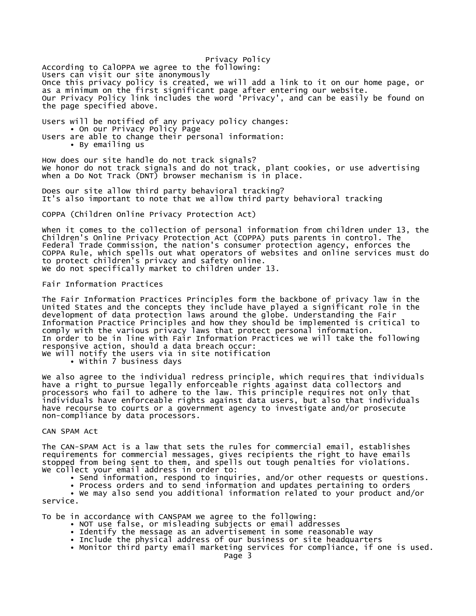Privacy Policy According to CalOPPA we agree to the following: Users can visit our site anonymously Once this privacy policy is created, we will add a link to it on our home page, or as a minimum on the first significant page after entering our website. Our Privacy Policy link includes the word 'Privacy', and can be easily be found on the page specified above.

Users will be notified of any privacy policy changes: • On our Privacy Policy Page Users are able to change their personal information: • By emailing us

How does our site handle do not track signals? We honor do not track signals and do not track, plant cookies, or use advertising when a Do Not Track (DNT) browser mechanism is in place.

Does our site allow third party behavioral tracking? It's also important to note that we allow third party behavioral tracking

COPPA (Children Online Privacy Protection Act)

When it comes to the collection of personal information from children under 13, the Children's Online Privacy Protection Act (COPPA) puts parents in control. The Federal Trade Commission, the nation's consumer protection agency, enforces the COPPA Rule, which spells out what operators of websites and online services must do to protect children's privacy and safety online. We do not specifically market to children under 13.

Fair Information Practices

The Fair Information Practices Principles form the backbone of privacy law in the United States and the concepts they include have played a significant role in the development of data protection laws around the globe. Understanding the Fair Information Practice Principles and how they should be implemented is critical to comply with the various privacy laws that protect personal information. In order to be in line with Fair Information Practices we will take the following responsive action, should a data breach occur: We will notify the users via in site notification

• Within 7 business days

We also agree to the individual redress principle, which requires that individuals have a right to pursue legally enforceable rights against data collectors and processors who fail to adhere to the law. This principle requires not only that individuals have enforceable rights against data users, but also that individuals have recourse to courts or a government agency to investigate and/or prosecute non-compliance by data processors.

### CAN SPAM Act

The CAN-SPAM Act is a law that sets the rules for commercial email, establishes requirements for commercial messages, gives recipients the right to have emails stopped from being sent to them, and spells out tough penalties for violations. We collect your email address in order to:

• Send information, respond to inquiries, and/or other requests or questions.

 • Process orders and to send information and updates pertaining to orders • We may also send you additional information related to your product and/or

service.

To be in accordance with CANSPAM we agree to the following:

- NOT use false, or misleading subjects or email addresses
- Identify the message as an advertisement in some reasonable way
- Include the physical address of our business or site headquarters
- Monitor third party email marketing services for compliance, if one is used.